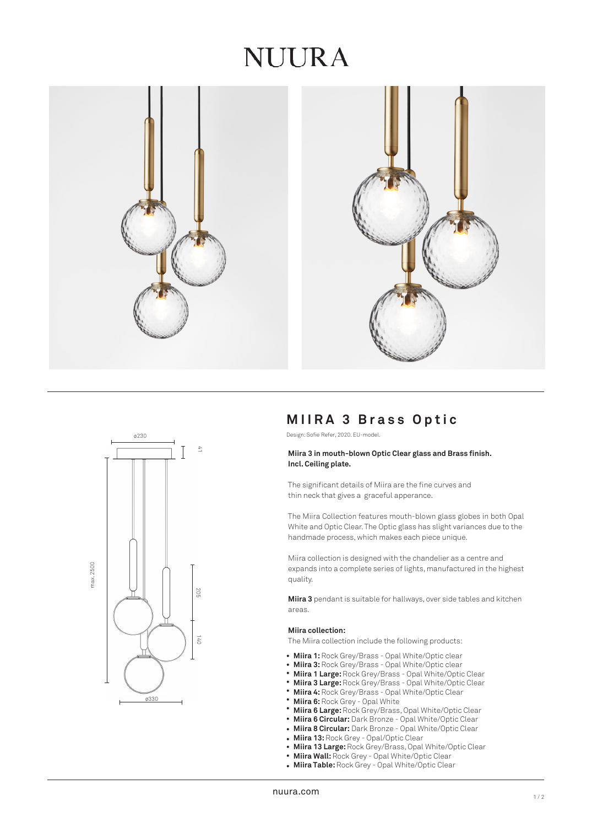## NUURA





## **MIIRA 3 Brass Optic**

Design: Sofie Refer, 2020. EU-model.

## **Miira 3 in mouth-blown Optic Clear glass and Brass finish. Incl. Ceiling plate.**

The significant details of Miira are the fine curves and thin neck that gives a graceful apperance.

The Miira Collection features mouth-blown glass globes in both Opal White and Optic Clear. The Optic glass has slight variances due to the handmade process, which makes each piece unique.

Miira collection is designed with the chandelier as a centre and expands into a complete series of lights, manufactured in the highest quality.

**Miira 3** pendant is suitable for hallways, over side tables and kitchen areas.

#### **Miira collection:**

The Miira collection include the following products:

- Miira 1: Rock Grey/Brass Opal White/Optic clear
- **Miira 3:** Rock Grey/Brass Opal White/Optic clear •
- **Miira 1 Large:** Rock Grey/Brass Opal White/Optic Clear •
- **Miira 3 Large:** Rock Grey/Brass Opal White/Optic Clear •
- **Miira 4:** Rock Grey/Brass Opal White/Optic Clear •
- **Miira 6:** Rock Grey Opal White •
- **Miira 6 Large:** Rock Grey/Brass, Opal White/Optic Clear •
- **Miira 6 Circular:** Dark Bronze Opal White/Optic Clear •
- **Miira 8 Circular:** Dark Bronze Opal White/Optic Clear •
- **Miira 13:** Rock Grey Opal/Optic Clear
- **Miira 13 Large:** Rock Grey/Brass, Opal White/Optic Clear •
- **Miira Wall:** Rock Grey Opal White/Optic Clear •
- **Miira Table:** Rock Grey Opal White/Optic Clear •